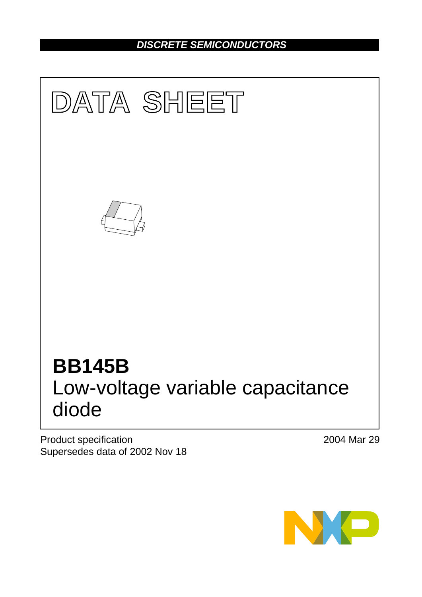# *DISCRETE SEMICONDUCTORS*



Product specification Supersedes data of 2002 Nov 18 2004 Mar 29

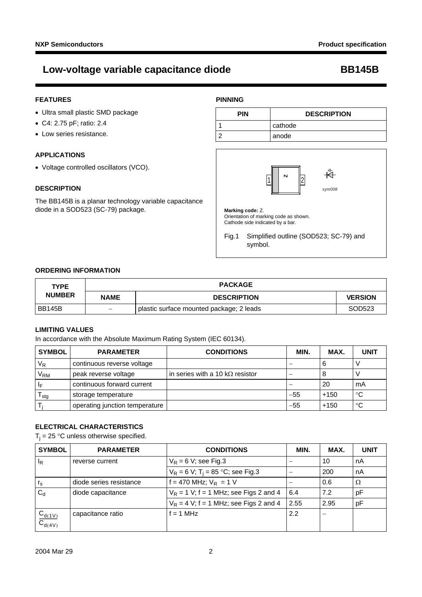### **FEATURES**

- Ultra small plastic SMD package
- C4: 2.75 pF; ratio: 2.4
- Low series resistance.

### **APPLICATIONS**

Voltage controlled oscillators (VCO).

#### **DESCRIPTION**

The BB145B is a planar technology variable capacitance diode in a SOD523 (SC-79) package.

#### **PINNING**





### **ORDERING INFORMATION**

| <b>TYPE</b>   |                          | <b>PACKAGE</b>                           |                |  |
|---------------|--------------------------|------------------------------------------|----------------|--|
| <b>NUMBER</b> | <b>NAME</b>              | <b>DESCRIPTION</b>                       | <b>VERSION</b> |  |
| <b>BB145B</b> | $\overline{\phantom{a}}$ | plastic surface mounted package; 2 leads | SOD523         |  |

### **LIMITING VALUES**

In accordance with the Absolute Maximum Rating System (IEC 60134).

| <b>SYMBOL</b> | <b>PARAMETER</b>               | <b>CONDITIONS</b>                       | <b>MIN</b> | MAX.   | <b>UNIT</b> |
|---------------|--------------------------------|-----------------------------------------|------------|--------|-------------|
| $\rm V_R$     | continuous reverse voltage     |                                         |            | 6      |             |
| $\rm V_{RM}$  | peak reverse voltage           | in series with a 10 k $\Omega$ resistor | –          |        |             |
| ΙF            | continuous forward current     |                                         |            | 20     | mA          |
| stg           | storage temperature            |                                         | $-55$      | $+150$ | °C          |
|               | operating junction temperature |                                         | $-55$      | $+150$ | °C          |

#### **ELECTRICAL CHARACTERISTICS**

 $T_i = 25$  °C unless otherwise specified.

| <b>SYMBOL</b>                 | <b>PARAMETER</b>        | <b>CONDITIONS</b>                               | MIN. | MAX. | <b>UNIT</b> |
|-------------------------------|-------------------------|-------------------------------------------------|------|------|-------------|
| $I_R$                         | reverse current         | $V_R$ = 6 V; see Fig.3                          | –    | 10   | nA          |
|                               |                         | $V_R = 6 V$ ; T <sub>i</sub> = 85 °C; see Fig.3 |      | 200  | nA          |
| $r_{\rm s}$                   | diode series resistance | $= 470$ MHz; $V_R = 1$ V                        |      | 0.6  | Ω           |
| $C_d$                         | diode capacitance       | $V_R$ = 1 V; f = 1 MHz; see Figs 2 and 4        | 6.4  | 7.2  | рF          |
|                               |                         | $V_R = 4$ V; f = 1 MHz; see Figs 2 and 4        | 2.55 | 2.95 | рF          |
| $\frac{C_{d(1V)}}{C_{d(4V)}}$ | capacitance ratio       | $= 1 MHz$                                       | 2.2  |      |             |
|                               |                         |                                                 |      |      |             |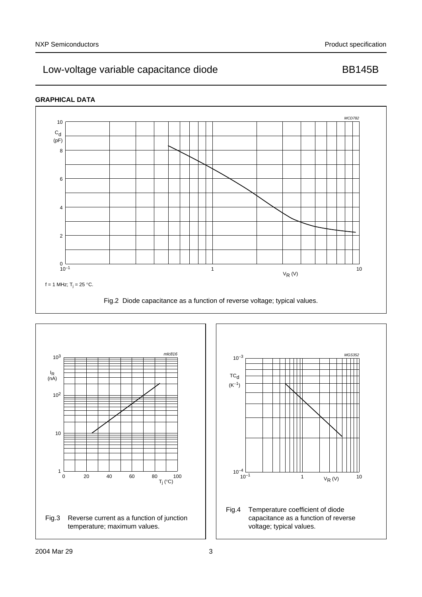## **GRAPHICAL DATA**



<span id="page-2-1"></span><span id="page-2-0"></span>

<span id="page-2-2"></span>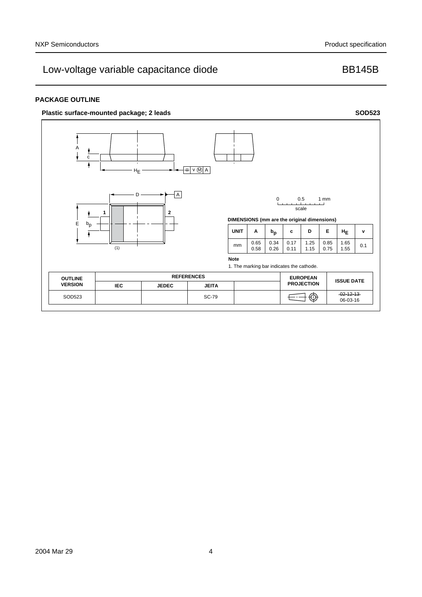### **PACKAGE OUTLINE**

### **Plastic surface-mounted package; 2 leads SOD523**

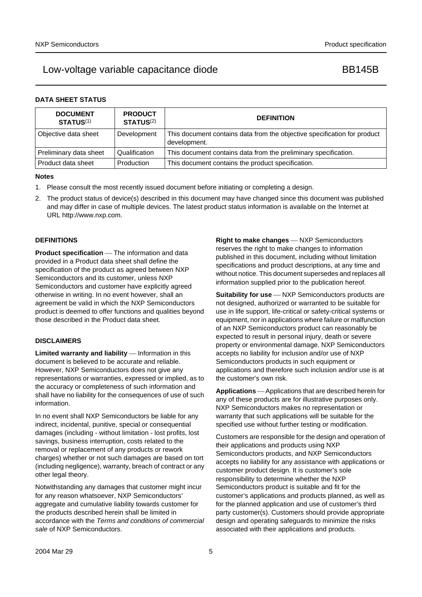### **DATA SHEET STATUS**

| <b>DOCUMENT</b><br><b>STATUS(1)</b> | <b>PRODUCT</b><br><b>STATUS(2)</b> | <b>DEFINITION</b>                                                                        |
|-------------------------------------|------------------------------------|------------------------------------------------------------------------------------------|
| Objective data sheet                | Development                        | This document contains data from the objective specification for product<br>development. |
| Preliminary data sheet              | Qualification                      | This document contains data from the preliminary specification.                          |
| Product data sheet                  | Production                         | This document contains the product specification.                                        |

#### **Notes**

- <span id="page-4-0"></span>1. Please consult the most recently issued document before initiating or completing a design.
- <span id="page-4-1"></span>2. The product status of device(s) described in this document may have changed since this document was published and may differ in case of multiple devices. The latest product status information is available on the Internet at URL http://www.nxp.com.

#### **DEFINITIONS**

**Product specification** — The information and data provided in a Product data sheet shall define the specification of the product as agreed between NXP Semiconductors and its customer, unless NXP Semiconductors and customer have explicitly agreed otherwise in writing. In no event however, shall an agreement be valid in which the NXP Semiconductors product is deemed to offer functions and qualities beyond those described in the Product data sheet.

#### **DISCLAIMERS**

**Limited warranty and liability** — Information in this document is believed to be accurate and reliable. However, NXP Semiconductors does not give any representations or warranties, expressed or implied, as to the accuracy or completeness of such information and shall have no liability for the consequences of use of such information.

In no event shall NXP Semiconductors be liable for any indirect, incidental, punitive, special or consequential damages (including - without limitation - lost profits, lost savings, business interruption, costs related to the removal or replacement of any products or rework charges) whether or not such damages are based on tort (including negligence), warranty, breach of contract or any other legal theory.

Notwithstanding any damages that customer might incur for any reason whatsoever, NXP Semiconductors' aggregate and cumulative liability towards customer for the products described herein shall be limited in accordance with the *Terms and conditions of commercial sale* of NXP Semiconductors.

**Right to make changes** - NXP Semiconductors reserves the right to make changes to information published in this document, including without limitation specifications and product descriptions, at any time and without notice. This document supersedes and replaces all information supplied prior to the publication hereof.

**Suitability for use** - NXP Semiconductors products are not designed, authorized or warranted to be suitable for use in life support, life-critical or safety-critical systems or equipment, nor in applications where failure or malfunction of an NXP Semiconductors product can reasonably be expected to result in personal injury, death or severe property or environmental damage. NXP Semiconductors accepts no liability for inclusion and/or use of NXP Semiconductors products in such equipment or applications and therefore such inclusion and/or use is at the customer's own risk.

**Applications** Applications that are described herein for any of these products are for illustrative purposes only. NXP Semiconductors makes no representation or warranty that such applications will be suitable for the specified use without further testing or modification.

Customers are responsible for the design and operation of their applications and products using NXP Semiconductors products, and NXP Semiconductors accepts no liability for any assistance with applications or customer product design. It is customer's sole responsibility to determine whether the NXP Semiconductors product is suitable and fit for the customer's applications and products planned, as well as for the planned application and use of customer's third party customer(s). Customers should provide appropriate design and operating safeguards to minimize the risks associated with their applications and products.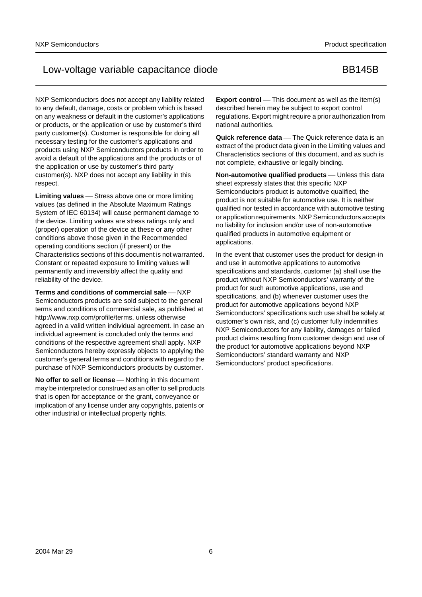NXP Semiconductors does not accept any liability related to any default, damage, costs or problem which is based on any weakness or default in the customer's applications or products, or the application or use by customer's third party customer(s). Customer is responsible for doing all necessary testing for the customer's applications and products using NXP Semiconductors products in order to avoid a default of the applications and the products or of the application or use by customer's third party customer(s). NXP does not accept any liability in this respect.

Limiting values Stress above one or more limiting values (as defined in the Absolute Maximum Ratings System of IEC 60134) will cause permanent damage to the device. Limiting values are stress ratings only and (proper) operation of the device at these or any other conditions above those given in the Recommended operating conditions section (if present) or the Characteristics sections of this document is not warranted. Constant or repeated exposure to limiting values will permanently and irreversibly affect the quality and reliability of the device.

**Terms and conditions of commercial sale – NXP** Semiconductors products are sold subject to the general terms and conditions of commercial sale, as published at http://www.nxp.com/profile/terms, unless otherwise agreed in a valid written individual agreement. In case an individual agreement is concluded only the terms and conditions of the respective agreement shall apply. NXP Semiconductors hereby expressly objects to applying the customer's general terms and conditions with regard to the purchase of NXP Semiconductors products by customer.

**No offer to sell or license** — Nothing in this document may be interpreted or construed as an offer to sell products that is open for acceptance or the grant, conveyance or implication of any license under any copyrights, patents or other industrial or intellectual property rights.

**Export control** — This document as well as the item(s) described herein may be subject to export control regulations. Export might require a prior authorization from national authorities.

**Quick reference data** — The Quick reference data is an extract of the product data given in the Limiting values and Characteristics sections of this document, and as such is not complete, exhaustive or legally binding.

**Non-automotive qualified products** - Unless this data sheet expressly states that this specific NXP Semiconductors product is automotive qualified, the product is not suitable for automotive use. It is neither qualified nor tested in accordance with automotive testing or application requirements. NXP Semiconductors accepts no liability for inclusion and/or use of non-automotive qualified products in automotive equipment or applications.

In the event that customer uses the product for design-in and use in automotive applications to automotive specifications and standards, customer (a) shall use the product without NXP Semiconductors' warranty of the product for such automotive applications, use and specifications, and (b) whenever customer uses the product for automotive applications beyond NXP Semiconductors' specifications such use shall be solely at customer's own risk, and (c) customer fully indemnifies NXP Semiconductors for any liability, damages or failed product claims resulting from customer design and use of the product for automotive applications beyond NXP Semiconductors' standard warranty and NXP Semiconductors' product specifications.